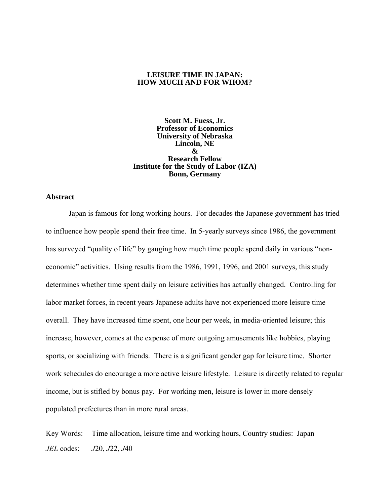## **LEISURE TIME IN JAPAN: HOW MUCH AND FOR WHOM?**

**Scott M. Fuess, Jr. Professor of Economics University of Nebraska Lincoln, NE & Research Fellow Institute for the Study of Labor (IZA) Bonn, Germany** 

#### **Abstract**

Japan is famous for long working hours. For decades the Japanese government has tried to influence how people spend their free time. In 5-yearly surveys since 1986, the government has surveyed "quality of life" by gauging how much time people spend daily in various "noneconomic" activities. Using results from the 1986, 1991, 1996, and 2001 surveys, this study determines whether time spent daily on leisure activities has actually changed. Controlling for labor market forces, in recent years Japanese adults have not experienced more leisure time overall. They have increased time spent, one hour per week, in media-oriented leisure; this increase, however, comes at the expense of more outgoing amusements like hobbies, playing sports, or socializing with friends. There is a significant gender gap for leisure time. Shorter work schedules do encourage a more active leisure lifestyle. Leisure is directly related to regular income, but is stifled by bonus pay. For working men, leisure is lower in more densely populated prefectures than in more rural areas.

Key Words: Time allocation, leisure time and working hours, Country studies: Japan *JEL* codes: *J*20, *J*22, *J*40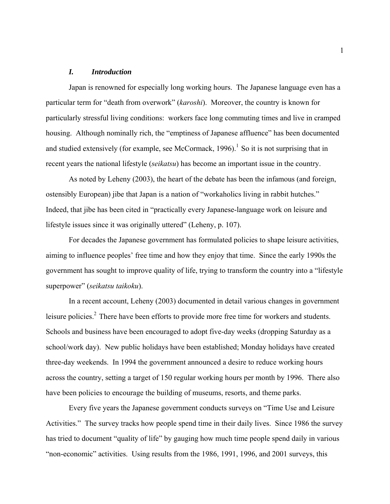# *I. Introduction*

Japan is renowned for especially long working hours. The Japanese language even has a particular term for "death from overwork" (*karoshi*). Moreover, the country is known for particularly stressful living conditions: workers face long commuting times and live in cramped housing. Although nominally rich, the "emptiness of Japanese affluence" has been documented and studied extensively (for example, see McCormack, 1996).<sup>1</sup> So it is not surprising that in recent years the national lifestyle (*seikatsu*) has become an important issue in the country.

As noted by Leheny (2003), the heart of the debate has been the infamous (and foreign, ostensibly European) jibe that Japan is a nation of "workaholics living in rabbit hutches." Indeed, that jibe has been cited in "practically every Japanese-language work on leisure and lifestyle issues since it was originally uttered" (Leheny, p. 107).

For decades the Japanese government has formulated policies to shape leisure activities, aiming to influence peoples' free time and how they enjoy that time. Since the early 1990s the government has sought to improve quality of life, trying to transform the country into a "lifestyle superpower" (*seikatsu taikoku*).

In a recent account, Leheny (2003) documented in detail various changes in government leisure policies.<sup>2</sup> There have been efforts to provide more free time for workers and students. Schools and business have been encouraged to adopt five-day weeks (dropping Saturday as a school/work day). New public holidays have been established; Monday holidays have created three-day weekends. In 1994 the government announced a desire to reduce working hours across the country, setting a target of 150 regular working hours per month by 1996. There also have been policies to encourage the building of museums, resorts, and theme parks.

Every five years the Japanese government conducts surveys on "Time Use and Leisure Activities." The survey tracks how people spend time in their daily lives. Since 1986 the survey has tried to document "quality of life" by gauging how much time people spend daily in various "non-economic" activities. Using results from the 1986, 1991, 1996, and 2001 surveys, this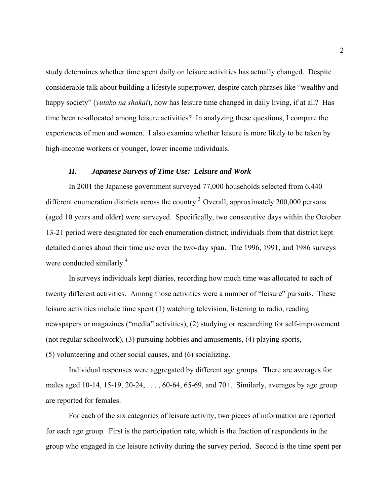study determines whether time spent daily on leisure activities has actually changed. Despite considerable talk about building a lifestyle superpower, despite catch phrases like "wealthy and happy society" (*yutaka na shakai*), how has leisure time changed in daily living, if at all? Has time been re-allocated among leisure activities? In analyzing these questions, I compare the experiences of men and women. I also examine whether leisure is more likely to be taken by high-income workers or younger, lower income individuals.

#### *II. Japanese Surveys of Time Use: Leisure and Work*

In 2001 the Japanese government surveyed 77,000 households selected from 6,440 different enumeration districts across the country.<sup>3</sup> Overall, approximately 200,000 persons (aged 10 years and older) were surveyed. Specifically, two consecutive days within the October 13-21 period were designated for each enumeration district; individuals from that district kept detailed diaries about their time use over the two-day span. The 1996, 1991, and 1986 surveys were conducted similarly.<sup>4</sup>

In surveys individuals kept diaries, recording how much time was allocated to each of twenty different activities. Among those activities were a number of "leisure" pursuits. These leisure activities include time spent (1) watching television, listening to radio, reading newspapers or magazines ("media" activities), (2) studying or researching for self-improvement (not regular schoolwork), (3) pursuing hobbies and amusements, (4) playing sports, (5) volunteering and other social causes, and (6) socializing.

Individual responses were aggregated by different age groups. There are averages for males aged 10-14, 15-19, 20-24,  $\dots$ , 60-64, 65-69, and 70+. Similarly, averages by age group are reported for females.

For each of the six categories of leisure activity, two pieces of information are reported for each age group. First is the participation rate, which is the fraction of respondents in the group who engaged in the leisure activity during the survey period. Second is the time spent per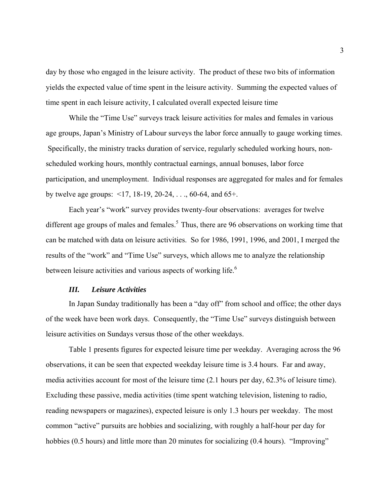day by those who engaged in the leisure activity. The product of these two bits of information yields the expected value of time spent in the leisure activity. Summing the expected values of time spent in each leisure activity, I calculated overall expected leisure time

While the "Time Use" surveys track leisure activities for males and females in various age groups, Japan's Ministry of Labour surveys the labor force annually to gauge working times. Specifically, the ministry tracks duration of service, regularly scheduled working hours, nonscheduled working hours, monthly contractual earnings, annual bonuses, labor force participation, and unemployment. Individual responses are aggregated for males and for females by twelve age groups: <17, 18-19, 20-24, . . ., 60-64, and 65+.

Each year's "work" survey provides twenty-four observations: averages for twelve different age groups of males and females.<sup>5</sup> Thus, there are 96 observations on working time that can be matched with data on leisure activities. So for 1986, 1991, 1996, and 2001, I merged the results of the "work" and "Time Use" surveys, which allows me to analyze the relationship between leisure activities and various aspects of working life.<sup>6</sup>

#### *III. Leisure Activities*

In Japan Sunday traditionally has been a "day off" from school and office; the other days of the week have been work days. Consequently, the "Time Use" surveys distinguish between leisure activities on Sundays versus those of the other weekdays.

Table 1 presents figures for expected leisure time per weekday. Averaging across the 96 observations, it can be seen that expected weekday leisure time is 3.4 hours. Far and away, media activities account for most of the leisure time (2.1 hours per day, 62.3% of leisure time). Excluding these passive, media activities (time spent watching television, listening to radio, reading newspapers or magazines), expected leisure is only 1.3 hours per weekday. The most common "active" pursuits are hobbies and socializing, with roughly a half-hour per day for hobbies (0.5 hours) and little more than 20 minutes for socializing (0.4 hours). "Improving"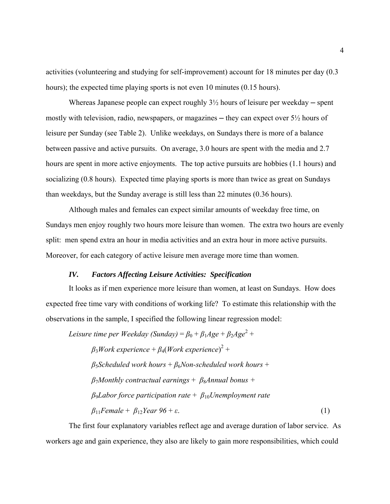activities (volunteering and studying for self-improvement) account for 18 minutes per day (0.3 hours); the expected time playing sports is not even 10 minutes (0.15 hours).

Whereas Japanese people can expect roughly  $3\frac{1}{2}$  hours of leisure per weekday — spent mostly with television, radio, newspapers, or magazines — they can expect over  $5\frac{1}{2}$  hours of leisure per Sunday (see Table 2). Unlike weekdays, on Sundays there is more of a balance between passive and active pursuits. On average, 3.0 hours are spent with the media and 2.7 hours are spent in more active enjoyments. The top active pursuits are hobbies (1.1 hours) and socializing (0.8 hours). Expected time playing sports is more than twice as great on Sundays than weekdays, but the Sunday average is still less than 22 minutes (0.36 hours).

Although males and females can expect similar amounts of weekday free time, on Sundays men enjoy roughly two hours more leisure than women. The extra two hours are evenly split: men spend extra an hour in media activities and an extra hour in more active pursuits. Moreover, for each category of active leisure men average more time than women.

## *IV. Factors Affecting Leisure Activities: Specification*

It looks as if men experience more leisure than women, at least on Sundays. How does expected free time vary with conditions of working life? To estimate this relationship with the observations in the sample, I specified the following linear regression model:

*Leisure time per Weekday (Sunday)* =  $\beta_0 + \beta_1 Age + \beta_2 Age^2 +$ *β*3*Work experience* + *β*4(*Work experience*) 2 + *β*5*Scheduled work hours* + *β*6*Non-scheduled work hours* +  $\beta$ <sub>7</sub>*Monthly contractual earnings* +  $\beta$ <sub>8</sub>*Annual bonus* + *β*9*Labor force participation rate* + *β*10*Unemployment rate*   $β_{11}$ *Female + β*<sub>12</sub>*Year 96 + ε*. (1)

The first four explanatory variables reflect age and average duration of labor service. As workers age and gain experience, they also are likely to gain more responsibilities, which could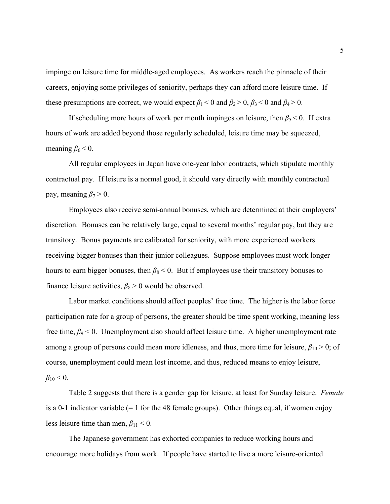impinge on leisure time for middle-aged employees. As workers reach the pinnacle of their careers, enjoying some privileges of seniority, perhaps they can afford more leisure time. If these presumptions are correct, we would expect  $\beta_1 < 0$  and  $\beta_2 > 0$ ,  $\beta_3 < 0$  and  $\beta_4 > 0$ .

If scheduling more hours of work per month impinges on leisure, then  $\beta_5 < 0$ . If extra hours of work are added beyond those regularly scheduled, leisure time may be squeezed, meaning  $\beta_6 < 0$ .

All regular employees in Japan have one-year labor contracts, which stipulate monthly contractual pay. If leisure is a normal good, it should vary directly with monthly contractual pay, meaning  $\beta_7 > 0$ .

Employees also receive semi-annual bonuses, which are determined at their employers' discretion. Bonuses can be relatively large, equal to several months' regular pay, but they are transitory. Bonus payments are calibrated for seniority, with more experienced workers receiving bigger bonuses than their junior colleagues. Suppose employees must work longer hours to earn bigger bonuses, then  $\beta_8$  < 0. But if employees use their transitory bonuses to finance leisure activities,  $\beta_8 > 0$  would be observed.

Labor market conditions should affect peoples' free time. The higher is the labor force participation rate for a group of persons, the greater should be time spent working, meaning less free time,  $\beta$ 9 < 0. Unemployment also should affect leisure time. A higher unemployment rate among a group of persons could mean more idleness, and thus, more time for leisure,  $\beta_{10} > 0$ ; of course, unemployment could mean lost income, and thus, reduced means to enjoy leisure,  $\beta_{10}$  < 0.

Table 2 suggests that there is a gender gap for leisure, at least for Sunday leisure. *Female* is a 0-1 indicator variable  $(= 1$  for the 48 female groups). Other things equal, if women enjoy less leisure time than men,  $\beta_{11}$  < 0.

The Japanese government has exhorted companies to reduce working hours and encourage more holidays from work. If people have started to live a more leisure-oriented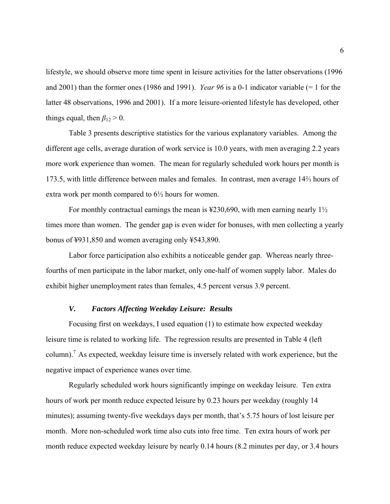lifestyle, we should observe more time spent in leisure activities for the latter observations (1996 and 2001) than the former ones (1986 and 1991). *Year 96* is a 0-1 indicator variable (= 1 for the latter 48 observations, 1996 and 2001). If a more leisure-oriented lifestyle has developed, other things equal, then  $\beta_{12} > 0$ .

Table 3 presents descriptive statistics for the various explanatory variables. Among the different age cells, average duration of work service is 10.0 years, with men averaging 2.2 years more work experience than women. The mean for regularly scheduled work hours per month is 173.5, with little difference between males and females. In contrast, men average 14⅔ hours of extra work per month compared to 6½ hours for women.

For monthly contractual earnings the mean is  $\text{\#230,690}$ , with men earning nearly  $1\frac{1}{2}$ times more than women. The gender gap is even wider for bonuses, with men collecting a yearly bonus of ¥931,850 and women averaging only ¥543,890.

Labor force participation also exhibits a noticeable gender gap. Whereas nearly threefourths of men participate in the labor market, only one-half of women supply labor. Males do exhibit higher unemployment rates than females, 4.5 percent versus 3.9 percent.

# *V. Factors Affecting Weekday Leisure: Results*

Focusing first on weekdays, I used equation (1) to estimate how expected weekday leisure time is related to working life. The regression results are presented in Table 4 (left column).<sup>7</sup> As expected, weekday leisure time is inversely related with work experience, but the negative impact of experience wanes over time.

Regularly scheduled work hours significantly impinge on weekday leisure. Ten extra hours of work per month reduce expected leisure by 0.23 hours per weekday (roughly 14 minutes); assuming twenty-five weekdays days per month, that's 5.75 hours of lost leisure per month. More non-scheduled work time also cuts into free time. Ten extra hours of work per month reduce expected weekday leisure by nearly 0.14 hours (8.2 minutes per day, or 3.4 hours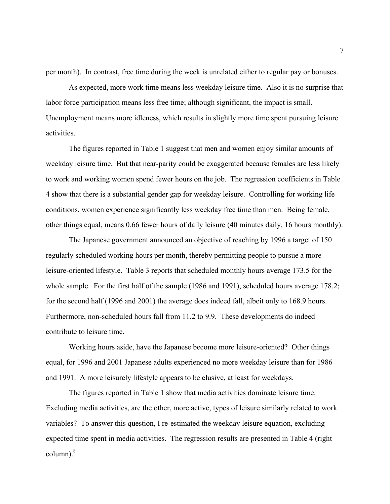per month). In contrast, free time during the week is unrelated either to regular pay or bonuses.

As expected, more work time means less weekday leisure time. Also it is no surprise that labor force participation means less free time; although significant, the impact is small. Unemployment means more idleness, which results in slightly more time spent pursuing leisure activities.

The figures reported in Table 1 suggest that men and women enjoy similar amounts of weekday leisure time. But that near-parity could be exaggerated because females are less likely to work and working women spend fewer hours on the job. The regression coefficients in Table 4 show that there is a substantial gender gap for weekday leisure. Controlling for working life conditions, women experience significantly less weekday free time than men. Being female, other things equal, means 0.66 fewer hours of daily leisure (40 minutes daily, 16 hours monthly).

The Japanese government announced an objective of reaching by 1996 a target of 150 regularly scheduled working hours per month, thereby permitting people to pursue a more leisure-oriented lifestyle. Table 3 reports that scheduled monthly hours average 173.5 for the whole sample. For the first half of the sample (1986 and 1991), scheduled hours average 178.2; for the second half (1996 and 2001) the average does indeed fall, albeit only to 168.9 hours. Furthermore, non-scheduled hours fall from 11.2 to 9.9. These developments do indeed contribute to leisure time.

Working hours aside, have the Japanese become more leisure-oriented? Other things equal, for 1996 and 2001 Japanese adults experienced no more weekday leisure than for 1986 and 1991. A more leisurely lifestyle appears to be elusive, at least for weekdays.

The figures reported in Table 1 show that media activities dominate leisure time. Excluding media activities, are the other, more active, types of leisure similarly related to work variables? To answer this question, I re-estimated the weekday leisure equation, excluding expected time spent in media activities. The regression results are presented in Table 4 (right column). $^{8}$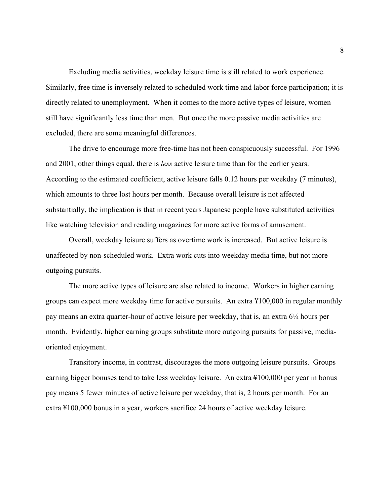Excluding media activities, weekday leisure time is still related to work experience. Similarly, free time is inversely related to scheduled work time and labor force participation; it is directly related to unemployment. When it comes to the more active types of leisure, women still have significantly less time than men. But once the more passive media activities are excluded, there are some meaningful differences.

The drive to encourage more free-time has not been conspicuously successful. For 1996 and 2001, other things equal, there is *less* active leisure time than for the earlier years. According to the estimated coefficient, active leisure falls 0.12 hours per weekday (7 minutes), which amounts to three lost hours per month. Because overall leisure is not affected substantially, the implication is that in recent years Japanese people have substituted activities like watching television and reading magazines for more active forms of amusement.

Overall, weekday leisure suffers as overtime work is increased. But active leisure is unaffected by non-scheduled work. Extra work cuts into weekday media time, but not more outgoing pursuits.

The more active types of leisure are also related to income. Workers in higher earning groups can expect more weekday time for active pursuits. An extra ¥100,000 in regular monthly pay means an extra quarter-hour of active leisure per weekday, that is, an extra 6¼ hours per month. Evidently, higher earning groups substitute more outgoing pursuits for passive, mediaoriented enjoyment.

Transitory income, in contrast, discourages the more outgoing leisure pursuits. Groups earning bigger bonuses tend to take less weekday leisure. An extra ¥100,000 per year in bonus pay means 5 fewer minutes of active leisure per weekday, that is, 2 hours per month. For an extra ¥100,000 bonus in a year, workers sacrifice 24 hours of active weekday leisure.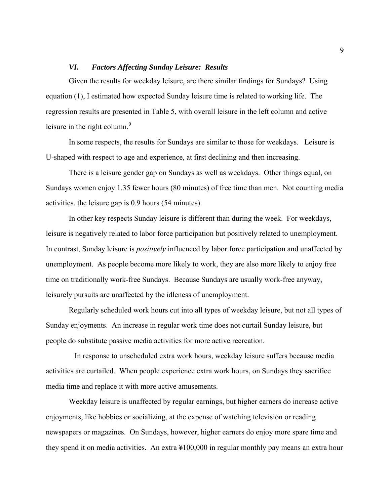## *VI. Factors Affecting Sunday Leisure: Results*

Given the results for weekday leisure, are there similar findings for Sundays? Using equation (1), I estimated how expected Sunday leisure time is related to working life. The regression results are presented in Table 5, with overall leisure in the left column and active leisure in the right column. $9$ 

In some respects, the results for Sundays are similar to those for weekdays. Leisure is U-shaped with respect to age and experience, at first declining and then increasing.

There is a leisure gender gap on Sundays as well as weekdays. Other things equal, on Sundays women enjoy 1.35 fewer hours (80 minutes) of free time than men. Not counting media activities, the leisure gap is 0.9 hours (54 minutes).

In other key respects Sunday leisure is different than during the week. For weekdays, leisure is negatively related to labor force participation but positively related to unemployment. In contrast, Sunday leisure is *positively* influenced by labor force participation and unaffected by unemployment. As people become more likely to work, they are also more likely to enjoy free time on traditionally work-free Sundays. Because Sundays are usually work-free anyway, leisurely pursuits are unaffected by the idleness of unemployment.

Regularly scheduled work hours cut into all types of weekday leisure, but not all types of Sunday enjoyments. An increase in regular work time does not curtail Sunday leisure, but people do substitute passive media activities for more active recreation.

 In response to unscheduled extra work hours, weekday leisure suffers because media activities are curtailed. When people experience extra work hours, on Sundays they sacrifice media time and replace it with more active amusements.

Weekday leisure is unaffected by regular earnings, but higher earners do increase active enjoyments, like hobbies or socializing, at the expense of watching television or reading newspapers or magazines. On Sundays, however, higher earners do enjoy more spare time and they spend it on media activities. An extra ¥100,000 in regular monthly pay means an extra hour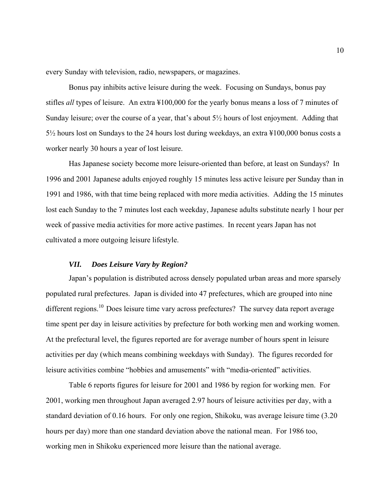every Sunday with television, radio, newspapers, or magazines.

Bonus pay inhibits active leisure during the week. Focusing on Sundays, bonus pay stifles *all* types of leisure. An extra ¥100,000 for the yearly bonus means a loss of 7 minutes of Sunday leisure; over the course of a year, that's about 5½ hours of lost enjoyment. Adding that 5½ hours lost on Sundays to the 24 hours lost during weekdays, an extra ¥100,000 bonus costs a worker nearly 30 hours a year of lost leisure.

Has Japanese society become more leisure-oriented than before, at least on Sundays? In 1996 and 2001 Japanese adults enjoyed roughly 15 minutes less active leisure per Sunday than in 1991 and 1986, with that time being replaced with more media activities. Adding the 15 minutes lost each Sunday to the 7 minutes lost each weekday, Japanese adults substitute nearly 1 hour per week of passive media activities for more active pastimes. In recent years Japan has not cultivated a more outgoing leisure lifestyle.

# *VII. Does Leisure Vary by Region?*

Japan's population is distributed across densely populated urban areas and more sparsely populated rural prefectures. Japan is divided into 47 prefectures, which are grouped into nine different regions.<sup>10</sup> Does leisure time vary across prefectures? The survey data report average time spent per day in leisure activities by prefecture for both working men and working women. At the prefectural level, the figures reported are for average number of hours spent in leisure activities per day (which means combining weekdays with Sunday). The figures recorded for leisure activities combine "hobbies and amusements" with "media-oriented" activities.

Table 6 reports figures for leisure for 2001 and 1986 by region for working men. For 2001, working men throughout Japan averaged 2.97 hours of leisure activities per day, with a standard deviation of 0.16 hours. For only one region, Shikoku, was average leisure time (3.20 hours per day) more than one standard deviation above the national mean. For 1986 too, working men in Shikoku experienced more leisure than the national average.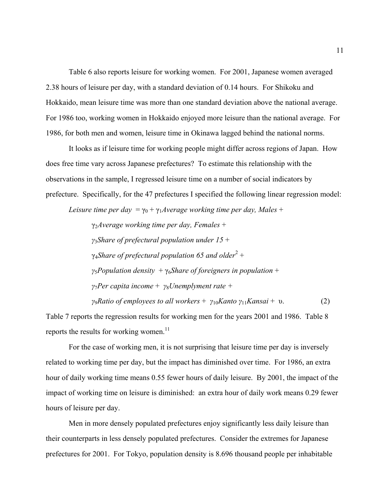Table 6 also reports leisure for working women. For 2001, Japanese women averaged 2.38 hours of leisure per day, with a standard deviation of 0.14 hours. For Shikoku and Hokkaido, mean leisure time was more than one standard deviation above the national average. For 1986 too, working women in Hokkaido enjoyed more leisure than the national average. For 1986, for both men and women, leisure time in Okinawa lagged behind the national norms.

It looks as if leisure time for working people might differ across regions of Japan. How does free time vary across Japanese prefectures? To estimate this relationship with the observations in the sample, I regressed leisure time on a number of social indicators by prefecture. Specifically, for the 47 prefectures I specified the following linear regression model:

*Leisure time per day* =  $\gamma_0 + \gamma_1 A$ *verage working time per day, Males* +

γ2*Average working time per day, Females* + *γ*3*Share of prefectural population under 15* + γ4*Share of prefectural population 65 and older*<sup>2</sup> + *γ*5*Population density* + γ6*Share of foreigners in population* + *γ*7*Per capita income* + *γ*8*Unemplyment rate + γ*<sup>9</sup>*Ratio of employees to all workers* +  $\gamma_{10}$ *Kanto*  $\gamma_{11}$ *Kansai* + v. (2)

Table 7 reports the regression results for working men for the years 2001 and 1986. Table 8 reports the results for working women.<sup>11</sup>

For the case of working men, it is not surprising that leisure time per day is inversely related to working time per day, but the impact has diminished over time. For 1986, an extra hour of daily working time means 0.55 fewer hours of daily leisure. By 2001, the impact of the impact of working time on leisure is diminished: an extra hour of daily work means 0.29 fewer hours of leisure per day.

 Men in more densely populated prefectures enjoy significantly less daily leisure than their counterparts in less densely populated prefectures. Consider the extremes for Japanese prefectures for 2001. For Tokyo, population density is 8.696 thousand people per inhabitable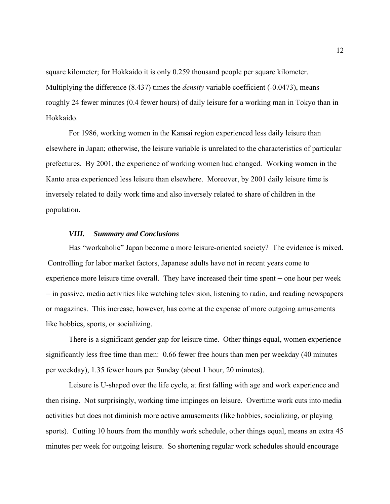square kilometer; for Hokkaido it is only 0.259 thousand people per square kilometer. Multiplying the difference (8.437) times the *density* variable coefficient (-0.0473), means roughly 24 fewer minutes (0.4 fewer hours) of daily leisure for a working man in Tokyo than in Hokkaido.

 For 1986, working women in the Kansai region experienced less daily leisure than elsewhere in Japan; otherwise, the leisure variable is unrelated to the characteristics of particular prefectures. By 2001, the experience of working women had changed. Working women in the Kanto area experienced less leisure than elsewhere. Moreover, by 2001 daily leisure time is inversely related to daily work time and also inversely related to share of children in the population.

#### *VIII. Summary and Conclusions*

Has "workaholic" Japan become a more leisure-oriented society? The evidence is mixed. Controlling for labor market factors, Japanese adults have not in recent years come to experience more leisure time overall. They have increased their time spent — one hour per week ─ in passive, media activities like watching television, listening to radio, and reading newspapers or magazines. This increase, however, has come at the expense of more outgoing amusements like hobbies, sports, or socializing.

There is a significant gender gap for leisure time. Other things equal, women experience significantly less free time than men: 0.66 fewer free hours than men per weekday (40 minutes per weekday), 1.35 fewer hours per Sunday (about 1 hour, 20 minutes).

Leisure is U-shaped over the life cycle, at first falling with age and work experience and then rising. Not surprisingly, working time impinges on leisure. Overtime work cuts into media activities but does not diminish more active amusements (like hobbies, socializing, or playing sports). Cutting 10 hours from the monthly work schedule, other things equal, means an extra 45 minutes per week for outgoing leisure. So shortening regular work schedules should encourage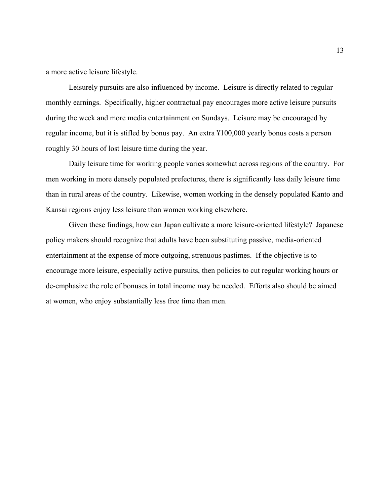a more active leisure lifestyle.

Leisurely pursuits are also influenced by income. Leisure is directly related to regular monthly earnings. Specifically, higher contractual pay encourages more active leisure pursuits during the week and more media entertainment on Sundays. Leisure may be encouraged by regular income, but it is stifled by bonus pay. An extra ¥100,000 yearly bonus costs a person roughly 30 hours of lost leisure time during the year.

Daily leisure time for working people varies somewhat across regions of the country. For men working in more densely populated prefectures, there is significantly less daily leisure time than in rural areas of the country. Likewise, women working in the densely populated Kanto and Kansai regions enjoy less leisure than women working elsewhere.

Given these findings, how can Japan cultivate a more leisure-oriented lifestyle? Japanese policy makers should recognize that adults have been substituting passive, media-oriented entertainment at the expense of more outgoing, strenuous pastimes. If the objective is to encourage more leisure, especially active pursuits, then policies to cut regular working hours or de-emphasize the role of bonuses in total income may be needed. Efforts also should be aimed at women, who enjoy substantially less free time than men.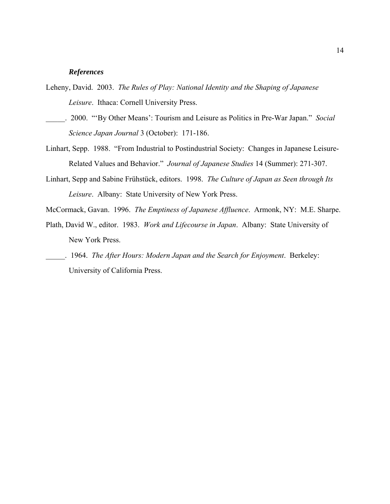#### *References*

- Leheny, David. 2003. *The Rules of Play: National Identity and the Shaping of Japanese Leisure*. Ithaca: Cornell University Press.
- \_\_\_\_\_. 2000. "'By Other Means': Tourism and Leisure as Politics in Pre-War Japan." *Social Science Japan Journal* 3 (October): 171-186.
- Linhart, Sepp. 1988. "From Industrial to Postindustrial Society: Changes in Japanese Leisure-Related Values and Behavior." *Journal of Japanese Studies* 14 (Summer): 271-307.
- Linhart, Sepp and Sabine Frühstück, editors. 1998. *The Culture of Japan as Seen through Its Leisure*. Albany: State University of New York Press.

McCormack, Gavan. 1996. *The Emptiness of Japanese Affluence*. Armonk, NY: M.E. Sharpe.

- Plath, David W., editor. 1983. *Work and Lifecourse in Japan*. Albany: State University of New York Press.
- \_\_\_\_\_. 1964. *The After Hours: Modern Japan and the Search for Enjoyment*. Berkeley: University of California Press.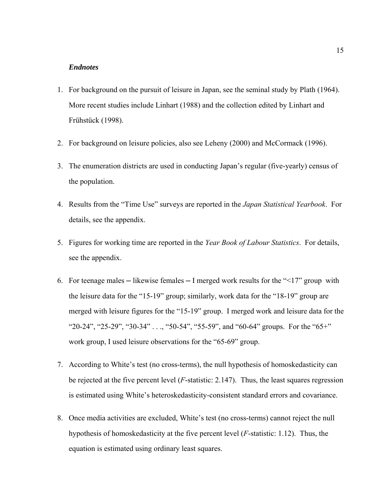#### *Endnotes*

- 1. For background on the pursuit of leisure in Japan, see the seminal study by Plath (1964). More recent studies include Linhart (1988) and the collection edited by Linhart and Frühstück (1998).
- 2. For background on leisure policies, also see Leheny (2000) and McCormack (1996).
- 3. The enumeration districts are used in conducting Japan's regular (five-yearly) census of the population.
- 4. Results from the "Time Use" surveys are reported in the *Japan Statistical Yearbook*. For details, see the appendix.
- 5. Figures for working time are reported in the *Year Book of Labour Statistics*. For details, see the appendix.
- 6. For teenage males  $-$  likewise females  $-$  I merged work results for the " $\leq 17$ " group with the leisure data for the "15-19" group; similarly, work data for the "18-19" group are merged with leisure figures for the "15-19" group. I merged work and leisure data for the "20-24", "25-29", "30-34" . . ., "50-54", "55-59", and "60-64" groups. For the "65+" work group, I used leisure observations for the "65-69" group.
- 7. According to White's test (no cross-terms), the null hypothesis of homoskedasticity can be rejected at the five percent level (*F*-statistic: 2.147). Thus, the least squares regression is estimated using White's heteroskedasticity-consistent standard errors and covariance.
- 8. Once media activities are excluded, White's test (no cross-terms) cannot reject the null hypothesis of homoskedasticity at the five percent level (*F*-statistic: 1.12). Thus, the equation is estimated using ordinary least squares.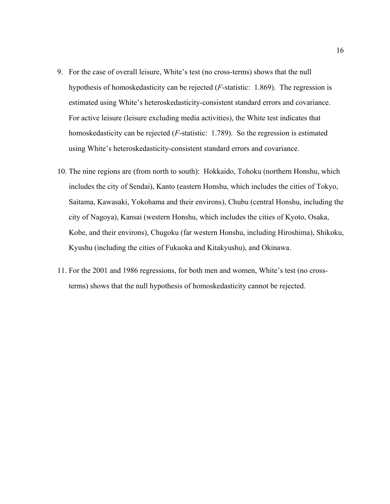- 9. For the case of overall leisure, White's test (no cross-terms) shows that the null hypothesis of homoskedasticity can be rejected (*F*-statistic: 1.869). The regression is estimated using White's heteroskedasticity-consistent standard errors and covariance. For active leisure (leisure excluding media activities), the White test indicates that homoskedasticity can be rejected (*F*-statistic: 1.789). So the regression is estimated using White's heteroskedasticity-consistent standard errors and covariance.
- 10. The nine regions are (from north to south): Hokkaido, Tohoku (northern Honshu, which includes the city of Sendai), Kanto (eastern Honshu, which includes the cities of Tokyo, Saitama, Kawasaki, Yokohama and their environs), Chubu (central Honshu, including the city of Nagoya), Kansai (western Honshu, which includes the cities of Kyoto, Osaka, Kobe, and their environs), Chugoku (far western Honshu, including Hiroshima), Shikoku, Kyushu (including the cities of Fukuoka and Kitakyushu), and Okinawa.
- 11. For the 2001 and 1986 regressions, for both men and women, White's test (no crossterms) shows that the null hypothesis of homoskedasticity cannot be rejected.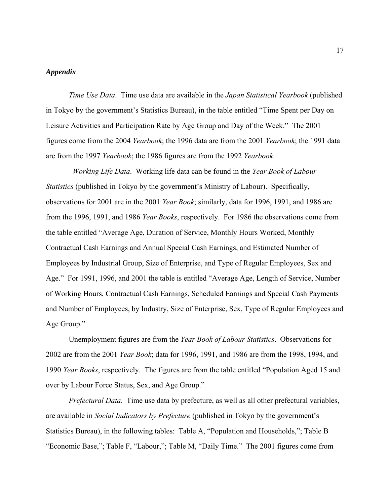## *Appendix*

*Time Use Data*. Time use data are available in the *Japan Statistical Yearbook* (published in Tokyo by the government's Statistics Bureau), in the table entitled "Time Spent per Day on Leisure Activities and Participation Rate by Age Group and Day of the Week." The 2001 figures come from the 2004 *Yearbook*; the 1996 data are from the 2001 *Yearbook*; the 1991 data are from the 1997 *Yearbook*; the 1986 figures are from the 1992 *Yearbook*.

 *Working Life Data*. Working life data can be found in the *Year Book of Labour Statistics* (published in Tokyo by the government's Ministry of Labour). Specifically, observations for 2001 are in the 2001 *Year Book*; similarly, data for 1996, 1991, and 1986 are from the 1996, 1991, and 1986 *Year Books*, respectively. For 1986 the observations come from the table entitled "Average Age, Duration of Service, Monthly Hours Worked, Monthly Contractual Cash Earnings and Annual Special Cash Earnings, and Estimated Number of Employees by Industrial Group, Size of Enterprise, and Type of Regular Employees, Sex and Age." For 1991, 1996, and 2001 the table is entitled "Average Age, Length of Service, Number of Working Hours, Contractual Cash Earnings, Scheduled Earnings and Special Cash Payments and Number of Employees, by Industry, Size of Enterprise, Sex, Type of Regular Employees and Age Group."

Unemployment figures are from the *Year Book of Labour Statistics*. Observations for 2002 are from the 2001 *Year Book*; data for 1996, 1991, and 1986 are from the 1998, 1994, and 1990 *Year Books*, respectively. The figures are from the table entitled "Population Aged 15 and over by Labour Force Status, Sex, and Age Group."

*Prefectural Data*. Time use data by prefecture, as well as all other prefectural variables, are available in *Social Indicators by Prefecture* (published in Tokyo by the government's Statistics Bureau), in the following tables: Table A, "Population and Households,"; Table B "Economic Base,"; Table F, "Labour,"; Table M, "Daily Time." The 2001 figures come from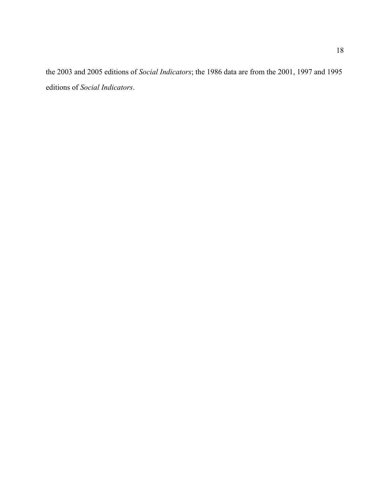the 2003 and 2005 editions of *Social Indicators*; the 1986 data are from the 2001, 1997 and 1995 editions of *Social Indicators*.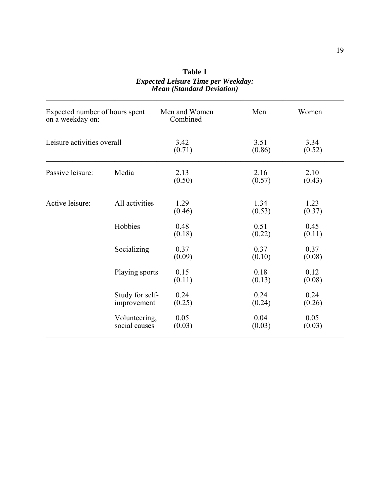| Expected number of hours spent<br>on a weekday on: |                                | Men and Women<br>Combined | Men            | Women          |
|----------------------------------------------------|--------------------------------|---------------------------|----------------|----------------|
| Leisure activities overall                         |                                | 3.42<br>(0.71)            | 3.51<br>(0.86) | 3.34<br>(0.52) |
| Passive leisure:                                   | Media                          | 2.13<br>(0.50)            | 2.16<br>(0.57) | 2.10<br>(0.43) |
| Active leisure:                                    | All activities                 | 1.29<br>(0.46)            | 1.34<br>(0.53) | 1.23<br>(0.37) |
|                                                    | Hobbies                        | 0.48<br>(0.18)            | 0.51<br>(0.22) | 0.45<br>(0.11) |
|                                                    | Socializing                    | 0.37<br>(0.09)            | 0.37<br>(0.10) | 0.37<br>(0.08) |
|                                                    | Playing sports                 | 0.15<br>(0.11)            | 0.18<br>(0.13) | 0.12<br>(0.08) |
|                                                    | Study for self-<br>improvement | 0.24<br>(0.25)            | 0.24<br>(0.24) | 0.24<br>(0.26) |
|                                                    | Volunteering,<br>social causes | 0.05<br>(0.03)            | 0.04<br>(0.03) | 0.05<br>(0.03) |

**Table 1**  *Expected Leisure Time per Weekday: Mean (Standard Deviation)*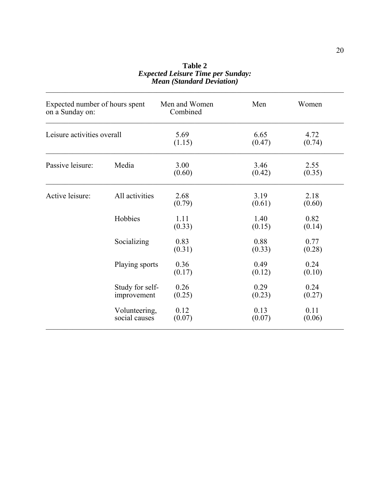| Expected number of hours spent<br>on a Sunday on: |                                | Men and Women<br>Combined | Men            | Women          |
|---------------------------------------------------|--------------------------------|---------------------------|----------------|----------------|
| Leisure activities overall                        |                                | 5.69<br>(1.15)            | 6.65<br>(0.47) | 4.72<br>(0.74) |
| Passive leisure:                                  | Media                          | 3.00<br>(0.60)            | 3.46<br>(0.42) | 2.55<br>(0.35) |
| Active leisure:                                   | All activities                 | 2.68<br>(0.79)            | 3.19<br>(0.61) | 2.18<br>(0.60) |
|                                                   | Hobbies                        | 1.11<br>(0.33)            | 1.40<br>(0.15) | 0.82<br>(0.14) |
|                                                   | Socializing                    | 0.83<br>(0.31)            | 0.88<br>(0.33) | 0.77<br>(0.28) |
|                                                   | Playing sports                 | 0.36<br>(0.17)            | 0.49<br>(0.12) | 0.24<br>(0.10) |
|                                                   | Study for self-<br>improvement | 0.26<br>(0.25)            | 0.29<br>(0.23) | 0.24<br>(0.27) |
|                                                   | Volunteering,<br>social causes | 0.12<br>(0.07)            | 0.13<br>(0.07) | 0.11<br>(0.06) |

# **Table 2**  *Expected Leisure Time per Sunday: Mean (Standard Deviation)*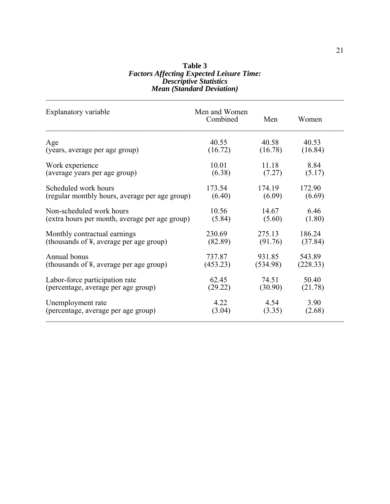#### **Table 3**  *Factors Affecting Expected Leisure Time: Descriptive Statistics Mean (Standard Deviation)*   $\mathcal{L}_\mathcal{L} = \mathcal{L}_\mathcal{L} = \mathcal{L}_\mathcal{L} = \mathcal{L}_\mathcal{L} = \mathcal{L}_\mathcal{L} = \mathcal{L}_\mathcal{L} = \mathcal{L}_\mathcal{L} = \mathcal{L}_\mathcal{L} = \mathcal{L}_\mathcal{L} = \mathcal{L}_\mathcal{L} = \mathcal{L}_\mathcal{L} = \mathcal{L}_\mathcal{L} = \mathcal{L}_\mathcal{L} = \mathcal{L}_\mathcal{L} = \mathcal{L}_\mathcal{L} = \mathcal{L}_\mathcal{L} = \mathcal{L}_\mathcal{L}$

| Explanatory variable                           | Men and Women<br>Combined | Men      | Women    |
|------------------------------------------------|---------------------------|----------|----------|
| Age                                            | 40.55                     | 40.58    | 40.53    |
| (years, average per age group)                 | (16.72)                   | (16.78)  | (16.84)  |
| Work experience                                | 10.01                     | 11.18    | 8.84     |
| (average years per age group)                  | (6.38)                    | (7.27)   | (5.17)   |
| Scheduled work hours                           | 173.54                    | 174.19   | 172.90   |
| (regular monthly hours, average per age group) | (6.40)                    | (6.09)   | (6.69)   |
| Non-scheduled work hours                       | 10.56                     | 14.67    | 6.46     |
| (extra hours per month, average per age group) | (5.84)                    | (5.60)   | (1.80)   |
| Monthly contractual earnings                   | 230.69                    | 275.13   | 186.24   |
| (thousands of ¥, average per age group)        | (82.89)                   | (91.76)  | (37.84)  |
| Annual bonus                                   | 737.87                    | 931.85   | 543.89   |
| (thousands of ¥, average per age group)        | (453.23)                  | (534.98) | (228.33) |
| Labor-force participation rate                 | 62.45                     | 74.51    | 50.40    |
| (percentage, average per age group)            | (29.22)                   | (30.90)  | (21.78)  |
| Unemployment rate                              | 4.22                      | 4.54     | 3.90     |
| (percentage, average per age group)            | (3.04)                    | (3.35)   | (2.68)   |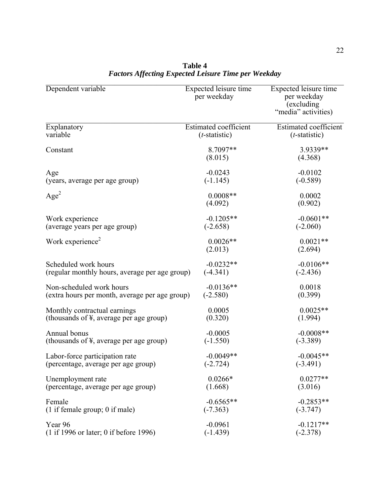| Dependent variable                                   | Expected leisure time<br>per weekday | Expected leisure time<br>per weekday<br>(excluding<br>"media" activities) |
|------------------------------------------------------|--------------------------------------|---------------------------------------------------------------------------|
| Explanatory                                          | Estimated coefficient                | Estimated coefficient                                                     |
| variable                                             | $(t$ -statistic)                     | $(t$ -statistic)                                                          |
| Constant                                             | 8.7097**<br>(8.015)                  | 3.9339**<br>(4.368)                                                       |
| Age                                                  | $-0.0243$                            | $-0.0102$                                                                 |
| (years, average per age group)                       | $(-1.145)$                           | $(-0.589)$                                                                |
| Age <sup>2</sup>                                     | $0.0008**$<br>(4.092)                | 0.0002<br>(0.902)                                                         |
| Work experience                                      | $-0.1205**$                          | $-0.0601**$                                                               |
| (average years per age group)                        | $(-2.658)$                           | $(-2.060)$                                                                |
| Work experience <sup>2</sup>                         | $0.0026**$<br>(2.013)                | $0.0021**$<br>(2.694)                                                     |
| Scheduled work hours                                 | $-0.0232**$                          | $-0.0106**$                                                               |
| (regular monthly hours, average per age group)       | $(-4.341)$                           | $(-2.436)$                                                                |
| Non-scheduled work hours                             | $-0.0136**$                          | 0.0018                                                                    |
| (extra hours per month, average per age group)       | $(-2.580)$                           | (0.399)                                                                   |
| Monthly contractual earnings                         | 0.0005                               | $0.0025**$                                                                |
| (thousands of $\frac{1}{2}$ , average per age group) | (0.320)                              | (1.994)                                                                   |
| Annual bonus                                         | $-0.0005$                            | $-0.0008**$                                                               |
| (thousands of $\frac{1}{2}$ , average per age group) | $(-1.550)$                           | $(-3.389)$                                                                |
| Labor-force participation rate                       | $-0.0049**$                          | $-0.0045**$                                                               |
| (percentage, average per age group)                  | $(-2.724)$                           | $(-3.491)$                                                                |
| Unemployment rate                                    | $0.0266*$                            | $0.0277**$                                                                |
| (percentage, average per age group)                  | (1.668)                              | (3.016)                                                                   |
| Female                                               | $-0.6565**$                          | $-0.2853**$                                                               |
| $(1$ if female group; 0 if male)                     | $(-7.363)$                           | $(-3.747)$                                                                |
| Year 96                                              | $-0.0961$                            | $-0.1217**$                                                               |
| (1 if 1996 or later; 0 if before 1996)               | $(-1.439)$                           | $(-2.378)$                                                                |

**Table 4**  *Factors Affecting Expected Leisure Time per Weekday*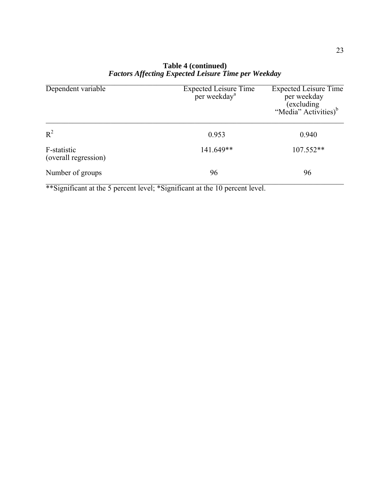| Dependent variable                  | <b>Expected Leisure Time</b><br>per weekday <sup>a</sup> | <b>Expected Leisure Time</b><br>per weekday<br>(excluding<br>"Media" Activities) <sup>b</sup> |
|-------------------------------------|----------------------------------------------------------|-----------------------------------------------------------------------------------------------|
| $R^2$                               | 0.953                                                    | 0.940                                                                                         |
| F-statistic<br>(overall regression) | 141.649**                                                | 107.552**                                                                                     |
| Number of groups                    | 96                                                       | 96                                                                                            |

# **Table 4 (continued)**  *Factors Affecting Expected Leisure Time per Weekday*

\*\*Significant at the 5 percent level; \*Significant at the 10 percent level.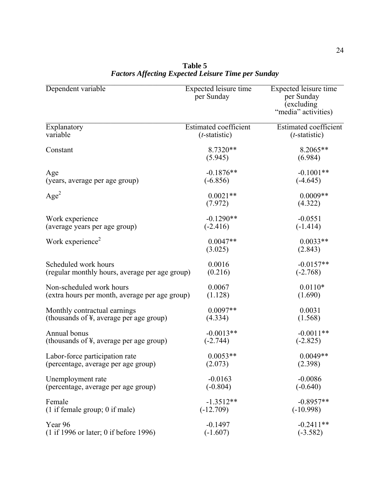| Dependent variable                                   | Expected leisure time<br>per Sunday | Expected leisure time<br>per Sunday<br>(excluding)<br>"media" activities) |
|------------------------------------------------------|-------------------------------------|---------------------------------------------------------------------------|
| Explanatory                                          | Estimated coefficient               | Estimated coefficient                                                     |
| variable                                             | $(t$ -statistic)                    | $(t$ -statistic)                                                          |
| Constant                                             | $8.7320**$<br>(5.945)               | 8.2065**<br>(6.984)                                                       |
| Age                                                  | $-0.1876**$                         | $-0.1001**$                                                               |
| (years, average per age group)                       | $(-6.856)$                          | $(-4.645)$                                                                |
| Age <sup>2</sup>                                     | $0.0021**$<br>(7.972)               | $0.0009**$<br>(4.322)                                                     |
| Work experience                                      | $-0.1290**$                         | $-0.0551$                                                                 |
| (average years per age group)                        | $(-2.416)$                          | $(-1.414)$                                                                |
| Work experience <sup>2</sup>                         | $0.0047**$<br>(3.025)               | $0.0033**$<br>(2.843)                                                     |
| Scheduled work hours                                 | 0.0016                              | $-0.0157**$                                                               |
| (regular monthly hours, average per age group)       | (0.216)                             | $(-2.768)$                                                                |
| Non-scheduled work hours                             | 0.0067                              | $0.0110*$                                                                 |
| (extra hours per month, average per age group)       | (1.128)                             | (1.690)                                                                   |
| Monthly contractual earnings                         | $0.0097**$                          | 0.0031                                                                    |
| (thousands of $\frac{1}{2}$ , average per age group) | (4.334)                             | (1.568)                                                                   |
| Annual bonus                                         | $-0.0013**$                         | $-0.0011**$                                                               |
| (thousands of $\frac{1}{2}$ , average per age group) | $(-2.744)$                          | $(-2.825)$                                                                |
| Labor-force participation rate                       | $0.0053**$                          | $0.0049**$                                                                |
| (percentage, average per age group)                  | (2.073)                             | (2.398)                                                                   |
| Unemployment rate                                    | $-0.0163$                           | $-0.0086$                                                                 |
| (percentage, average per age group)                  | $(-0.804)$                          | $(-0.640)$                                                                |
| Female                                               | $-1.3512**$                         | $-0.8957**$                                                               |
| $(1$ if female group; 0 if male)                     | $(-12.709)$                         | $(-10.998)$                                                               |
| Year 96                                              | $-0.1497$                           | $-0.2411**$                                                               |
| (1 if 1996 or later; 0 if before 1996)               | $(-1.607)$                          | $(-3.582)$                                                                |

**Table 5**  *Factors Affecting Expected Leisure Time per Sunday*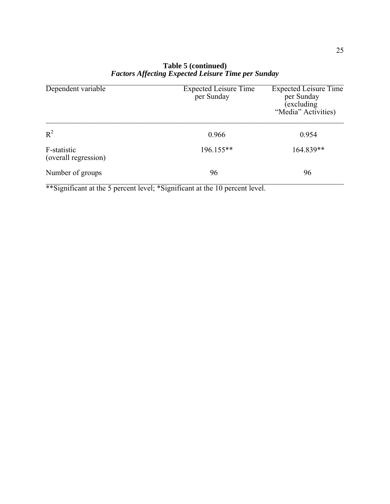| Dependent variable                  | <b>Expected Leisure Time</b><br>per Sunday | <b>Expected Leisure Time</b><br>per Sunday<br>excluding<br>"Media" Activities) |
|-------------------------------------|--------------------------------------------|--------------------------------------------------------------------------------|
| $R^2$                               | 0.966                                      | 0.954                                                                          |
| F-statistic<br>(overall regression) | 196.155**                                  | 164.839**                                                                      |
| Number of groups                    | 96                                         | 96                                                                             |

# **Table 5 (continued)**  *Factors Affecting Expected Leisure Time per Sunday*

\*\*Significant at the 5 percent level; \*Significant at the 10 percent level.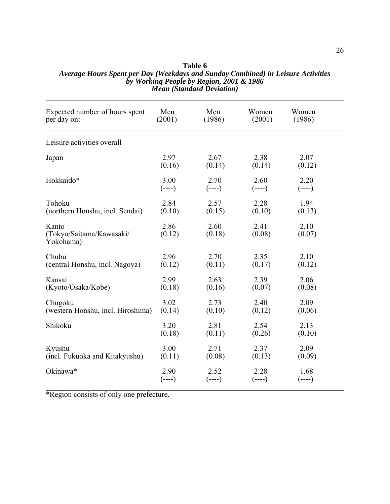| Expected number of hours spent<br>per day on:  | Men<br>(2001)    | Men<br>(1986)    | Women<br>(2001)  | Women<br>(1986)  |  |
|------------------------------------------------|------------------|------------------|------------------|------------------|--|
| Leisure activities overall                     |                  |                  |                  |                  |  |
| Japan                                          | 2.97<br>(0.16)   | 2.67<br>(0.14)   | 2.38<br>(0.14)   | 2.07<br>(0.12)   |  |
| Hokkaido*                                      | 3.00<br>$(----)$ | 2.70<br>$(----)$ | 2.60<br>$(----)$ | 2.20<br>$(---)$  |  |
| Tohoku<br>(northern Honshu, incl. Sendai)      | 2.84<br>(0.10)   | 2.57<br>(0.15)   | 2.28<br>(0.10)   | 1.94<br>(0.13)   |  |
| Kanto<br>(Tokyo/Saitama/Kawasaki/<br>Yokohama) | 2.86<br>(0.12)   | 2.60<br>(0.18)   | 2.41<br>(0.08)   | 2.10<br>(0.07)   |  |
| Chubu<br>(central Honshu, incl. Nagoya)        | 2.96<br>(0.12)   | 2.70<br>(0.11)   | 2.35<br>(0.17)   | 2.10<br>(0.12)   |  |
| Kansai<br>(Kyoto/Osaka/Kobe)                   | 2.99<br>(0.18)   | 2.63<br>(0.16)   | 2.39<br>(0.07)   | 2.06<br>(0.08)   |  |
| Chugoku<br>(western Honshu, incl. Hiroshima)   | 3.02<br>(0.14)   | 2.73<br>(0.10)   | 2.40<br>(0.12)   | 2.09<br>(0.06)   |  |
| Shikoku                                        | 3.20<br>(0.18)   | 2.81<br>(0.11)   | 2.54<br>(0.26)   | 2.13<br>(0.10)   |  |
| Kyushu<br>(incl. Fukuoka and Kitakyushu)       | 3.00<br>(0.11)   | 2.71<br>(0.08)   | 2.37<br>(0.13)   | 2.09<br>(0.09)   |  |
| Okinawa*                                       | 2.90<br>$(----)$ | 2.52<br>$(----)$ | 2.28<br>$(----)$ | 1.68<br>$(----)$ |  |

#### **Table 6**  *Average Hours Spent per Day (Weekdays and Sunday Combined) in Leisure Activities by Working People by Region, 2001 & 1986 Mean (Standard Deviation)*

\*Region consists of only one prefecture.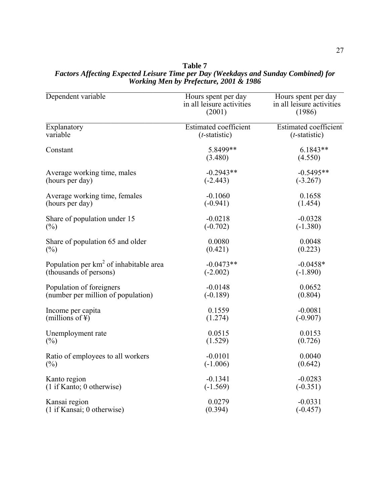| Dependent variable                        | Hours spent per day<br>in all leisure activities<br>(2001) | Hours spent per day<br>in all leisure activities<br>(1986) |
|-------------------------------------------|------------------------------------------------------------|------------------------------------------------------------|
| Explanatory                               | <b>Estimated coefficient</b>                               | <b>Estimated coefficient</b>                               |
| variable                                  | $(t\text{-statistic})$                                     | $(t$ -statistic)                                           |
| Constant                                  | 5.8499**<br>(3.480)                                        | $6.1843**$<br>(4.550)                                      |
| Average working time, males               | $-0.2943**$                                                | $-0.5495**$                                                |
| (hours per day)                           | $(-2.443)$                                                 | $(-3.267)$                                                 |
| Average working time, females             | $-0.1060$                                                  | 0.1658                                                     |
| (hours per day)                           | $(-0.941)$                                                 | (1.454)                                                    |
| Share of population under 15              | $-0.0218$                                                  | $-0.0328$                                                  |
| $(\%)$                                    | $(-0.702)$                                                 | $(-1.380)$                                                 |
| Share of population 65 and older          | 0.0080                                                     | 0.0048                                                     |
| $(\%)$                                    | (0.421)                                                    | (0.223)                                                    |
| Population per $km^2$ of inhabitable area | $-0.0473**$                                                | $-0.0458*$                                                 |
| (thousands of persons)                    | $(-2.002)$                                                 | $(-1.890)$                                                 |
| Population of foreigners                  | $-0.0148$                                                  | 0.0652                                                     |
| (number per million of population)        | $(-0.189)$                                                 | (0.804)                                                    |
| Income per capita                         | 0.1559                                                     | $-0.0081$                                                  |
| (millions of $\yen$ )                     | (1.274)                                                    | $(-0.907)$                                                 |
| Unemployment rate                         | 0.0515                                                     | 0.0153                                                     |
| $(\%)$                                    | (1.529)                                                    | (0.726)                                                    |
| Ratio of employees to all workers         | $-0.0101$                                                  | 0.0040                                                     |
| $(\%)$                                    | $(-1.006)$                                                 | (0.642)                                                    |
| Kanto region                              | $-0.1341$                                                  | $-0.0283$                                                  |
| (1 if Kanto; 0 otherwise)                 | $(-1.569)$                                                 | $(-0.351)$                                                 |
| Kansai region                             | 0.0279                                                     | $-0.0331$                                                  |
| (1 if Kansai; 0 otherwise)                | (0.394)                                                    | $(-0.457)$                                                 |

#### **Table 7**  *Factors Affecting Expected Leisure Time per Day (Weekdays and Sunday Combined) for Working Men by Prefecture, 2001 & 1986*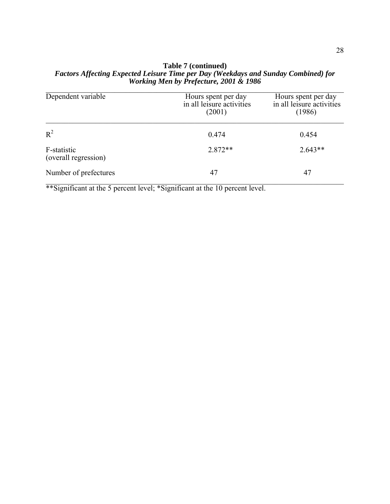### **Table 7 (continued)**  *Factors Affecting Expected Leisure Time per Day (Weekdays and Sunday Combined) for Working Men by Prefecture, 2001 & 1986*

| Dependent variable                  | Hours spent per day<br>in all leisure activities<br>(2001) | Hours spent per day<br>in all leisure activities<br>(1986) |
|-------------------------------------|------------------------------------------------------------|------------------------------------------------------------|
| $R^2$                               | 0.474                                                      | 0.454                                                      |
| F-statistic<br>(overall regression) | $2.872**$                                                  | $2.643**$                                                  |
| Number of prefectures               | 47                                                         | 47                                                         |

\*\*Significant at the 5 percent level; \*Significant at the 10 percent level.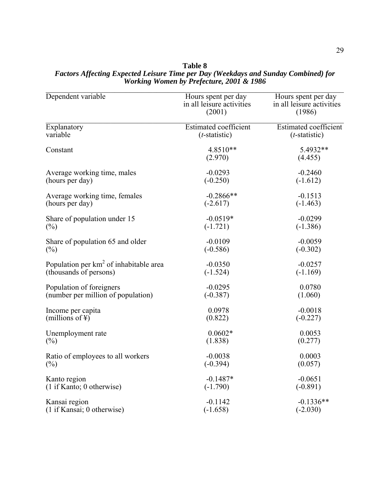| Dependent variable                                 | Hours spent per day<br>in all leisure activities<br>(2001) | Hours spent per day<br>in all leisure activities<br>(1986) |
|----------------------------------------------------|------------------------------------------------------------|------------------------------------------------------------|
| Explanatory                                        | <b>Estimated coefficient</b>                               | <b>Estimated coefficient</b>                               |
| variable                                           | $(t$ -statistic)                                           | $(t\text{-statistic})$                                     |
| Constant                                           | 4.8510**<br>(2.970)                                        | 5.4932**<br>(4.455)                                        |
| Average working time, males                        | $-0.0293$                                                  | $-0.2460$                                                  |
| (hours per day)                                    | $(-0.250)$                                                 | $(-1.612)$                                                 |
| Average working time, females                      | $-0.2866**$                                                | $-0.1513$                                                  |
| (hours per day)                                    | $(-2.617)$                                                 | $(-1.463)$                                                 |
| Share of population under 15                       | $-0.0519*$                                                 | $-0.0299$                                                  |
| $(\%)$                                             | $(-1.721)$                                                 | $(-1.386)$                                                 |
| Share of population 65 and older                   | $-0.0109$                                                  | $-0.0059$                                                  |
| $(\%)$                                             | $(-0.586)$                                                 | $(-0.302)$                                                 |
| Population per km <sup>2</sup> of inhabitable area | $-0.0350$                                                  | $-0.0257$                                                  |
| (thousands of persons)                             | $(-1.524)$                                                 | $(-1.169)$                                                 |
| Population of foreigners                           | $-0.0295$                                                  | 0.0780                                                     |
| (number per million of population)                 | $(-0.387)$                                                 | (1.060)                                                    |
| Income per capita                                  | 0.0978                                                     | $-0.0018$                                                  |
| (millions of $\ddagger$ )                          | (0.822)                                                    | $(-0.227)$                                                 |
| Unemployment rate                                  | $0.0602*$                                                  | 0.0053                                                     |
| $(\%)$                                             | (1.838)                                                    | (0.277)                                                    |
| Ratio of employees to all workers                  | $-0.0038$                                                  | 0.0003                                                     |
| $(\%)$                                             | $(-0.394)$                                                 | (0.057)                                                    |
| Kanto region                                       | $-0.1487*$                                                 | $-0.0651$                                                  |
| (1 if Kanto; 0 otherwise)                          | $(-1.790)$                                                 | $(-0.891)$                                                 |
| Kansai region                                      | $-0.1142$                                                  | $-0.1336**$                                                |
| (1 if Kansai; 0 otherwise)                         | $(-1.658)$                                                 | $(-2.030)$                                                 |

**Table 8**  *Factors Affecting Expected Leisure Time per Day (Weekdays and Sunday Combined) for Working Women by Prefecture, 2001 & 1986*